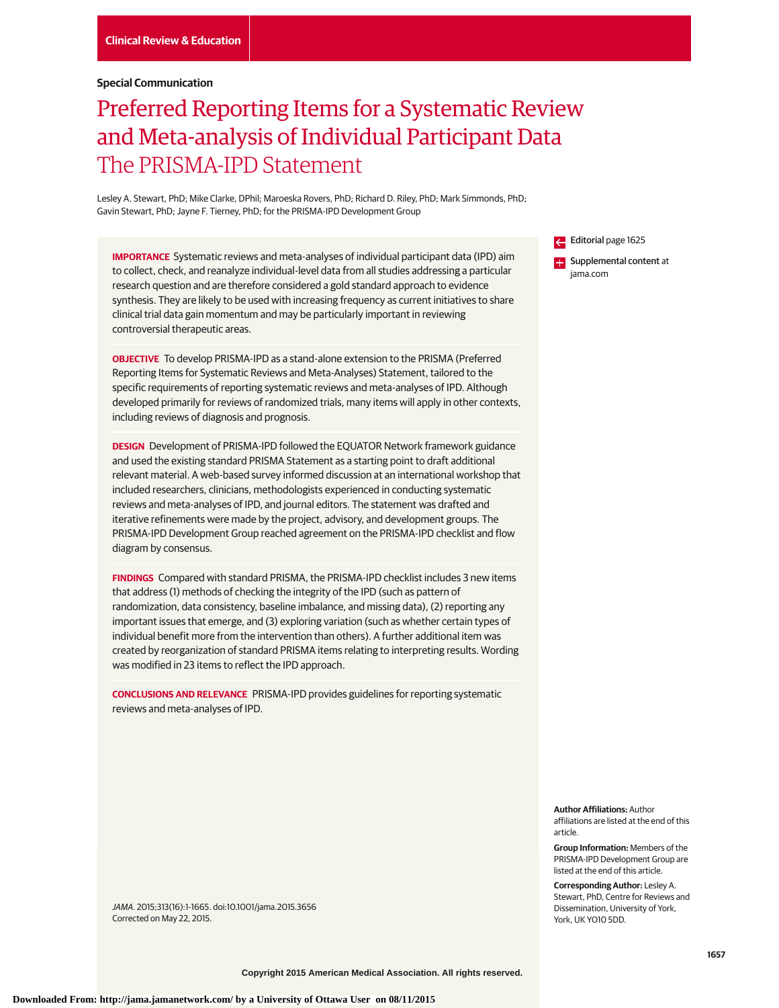## **Special Communication**

# Preferred Reporting Items for a Systematic Review and Meta-analysis of Individual Participant Data The PRISMA-IPD Statement

Lesley A. Stewart, PhD; Mike Clarke, DPhil; Maroeska Rovers, PhD; Richard D. Riley, PhD; Mark Simmonds, PhD; Gavin Stewart, PhD; Jayne F. Tierney, PhD; for the PRISMA-IPD Development Group

**IMPORTANCE** Systematic reviews and meta-analyses of individual participant data (IPD) aim to collect, check, and reanalyze individual-level data from all studies addressing a particular research question and are therefore considered a gold standard approach to evidence synthesis. They are likely to be used with increasing frequency as current initiatives to share clinical trial data gain momentum and may be particularly important in reviewing controversial therapeutic areas.

**OBJECTIVE** To develop PRISMA-IPD as a stand-alone extension to the PRISMA (Preferred Reporting Items for Systematic Reviews and Meta-Analyses) Statement, tailored to the specific requirements of reporting systematic reviews and meta-analyses of IPD. Although developed primarily for reviews of randomized trials, many items will apply in other contexts, including reviews of diagnosis and prognosis.

**DESIGN** Development of PRISMA-IPD followed the EQUATOR Network framework guidance and used the existing standard PRISMA Statement as a starting point to draft additional relevant material. A web-based survey informed discussion at an international workshop that included researchers, clinicians, methodologists experienced in conducting systematic reviews and meta-analyses of IPD, and journal editors. The statement was drafted and iterative refinements were made by the project, advisory, and development groups. The PRISMA-IPD Development Group reached agreement on the PRISMA-IPD checklist and flow diagram by consensus.

**FINDINGS** Compared with standard PRISMA, the PRISMA-IPD checklist includes 3 new items that address (1) methods of checking the integrity of the IPD (such as pattern of randomization, data consistency, baseline imbalance, and missing data), (2) reporting any important issues that emerge, and (3) exploring variation (such as whether certain types of individual benefit more from the intervention than others). A further additional item was created by reorganization of standard PRISMA items relating to interpreting results. Wording was modified in 23 items to reflect the IPD approach.

**CONCLUSIONS AND RELEVANCE** PRISMA-IPD provides guidelines for reporting systematic reviews and meta-analyses of IPD.

Editorial page 1625 **Examplemental content at** jama.com

**Author Affiliations:** Author affiliations are listed at the end of this article.

**Group Information:** Members of the PRISMA-IPD Development Group are listed at the end of this article.

**Corresponding Author:** Lesley A. Stewart, PhD, Centre for Reviews and Dissemination, University of York, York, UK YO10 5DD.

JAMA. 2015;313(16):1-1665. doi:10.1001/jama.2015.3656 Corrected on May 22, 2015.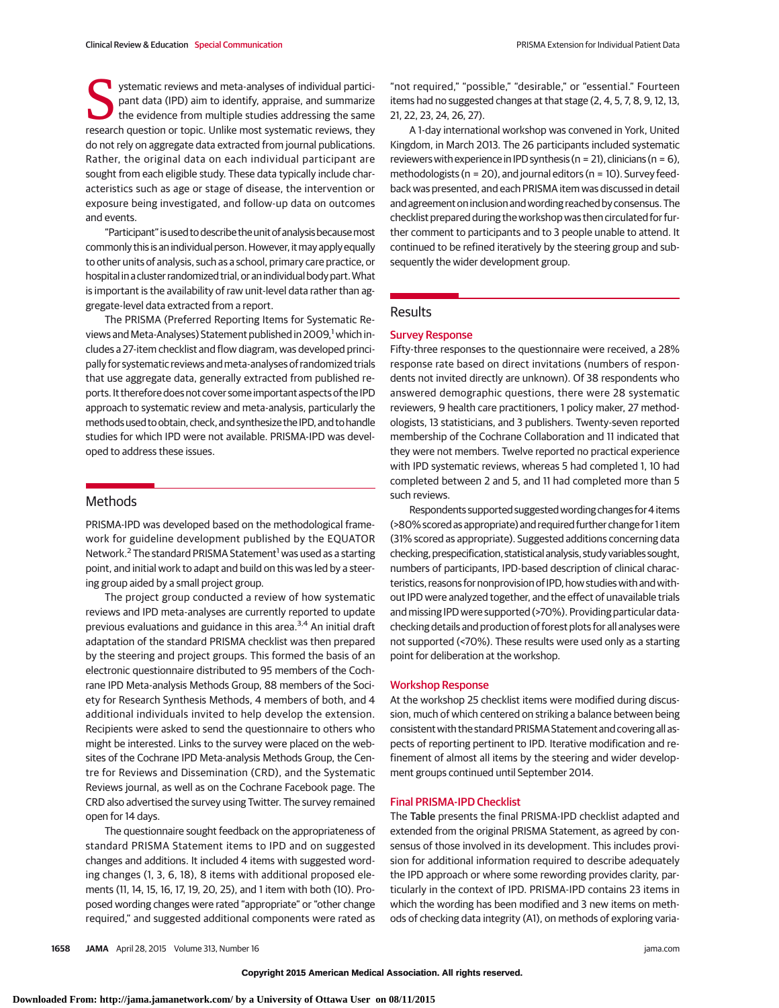Systematic reviews and meta-analyses of individual partici-<br>
pant data (IPD) aim to identify, appraise, and summarize<br>
the evidence from multiple studies addressing the same<br>
research question or topic. Uplike most systema pant data (IPD) aim to identify, appraise, and summarize research question or topic. Unlike most systematic reviews, they do not rely on aggregate data extracted from journal publications. Rather, the original data on each individual participant are sought from each eligible study. These data typically include characteristics such as age or stage of disease, the intervention or exposure being investigated, and follow-up data on outcomes and events.

"Participant" is used to describe the unit of analysis because most commonly this is an individual person. However, it may apply equally to other units of analysis, such as a school, primary care practice, or hospital in a cluster randomized trial, or an individual body part.What is important is the availability of raw unit-level data rather than aggregate-level data extracted from a report.

The PRISMA (Preferred Reporting Items for Systematic Reviews and Meta-Analyses) Statement published in 2009,<sup>1</sup> which includes a 27-item checklist and flow diagram, was developed principally for systematic reviews and meta-analyses of randomized trials that use aggregate data, generally extracted from published reports. It therefore does not cover some important aspects of the IPD approach to systematic review and meta-analysis, particularly the methods used to obtain, check, and synthesize the IPD, and to handle studies for which IPD were not available. PRISMA-IPD was developed to address these issues.

## Methods

PRISMA-IPD was developed based on the methodological framework for guideline development published by the EQUATOR Network.<sup>2</sup> The standard PRISMA Statement<sup>1</sup> was used as a starting point, and initial work to adapt and build on this was led by a steering group aided by a small project group.

The project group conducted a review of how systematic reviews and IPD meta-analyses are currently reported to update previous evaluations and guidance in this area.<sup>3,4</sup> An initial draft adaptation of the standard PRISMA checklist was then prepared by the steering and project groups. This formed the basis of an electronic questionnaire distributed to 95 members of the Cochrane IPD Meta-analysis Methods Group, 88 members of the Society for Research Synthesis Methods, 4 members of both, and 4 additional individuals invited to help develop the extension. Recipients were asked to send the questionnaire to others who might be interested. Links to the survey were placed on the websites of the Cochrane IPD Meta-analysis Methods Group, the Centre for Reviews and Dissemination (CRD), and the Systematic Reviews journal, as well as on the Cochrane Facebook page. The CRD also advertised the survey using Twitter. The survey remained open for 14 days.

The questionnaire sought feedback on the appropriateness of standard PRISMA Statement items to IPD and on suggested changes and additions. It included 4 items with suggested wording changes (1, 3, 6, 18), 8 items with additional proposed elements (11, 14, 15, 16, 17, 19, 20, 25), and 1 item with both (10). Proposed wording changes were rated "appropriate" or "other change required," and suggested additional components were rated as "not required," "possible," "desirable," or "essential." Fourteen items had no suggested changes at that stage (2, 4, 5, 7, 8, 9, 12, 13, 21, 22, 23, 24, 26, 27).

A 1-day international workshop was convened in York, United Kingdom, in March 2013. The 26 participants included systematic reviewers with experience in IPD synthesis (n = 21), clinicians (n = 6), methodologists ( $n = 20$ ), and journal editors ( $n = 10$ ). Survey feedback was presented, and each PRISMA item was discussed in detail and agreement on inclusion and wording reached by consensus. The checklist prepared during the workshop was then circulated for further comment to participants and to 3 people unable to attend. It continued to be refined iteratively by the steering group and subsequently the wider development group.

#### Results

#### Survey Response

Fifty-three responses to the questionnaire were received, a 28% response rate based on direct invitations (numbers of respondents not invited directly are unknown). Of 38 respondents who answered demographic questions, there were 28 systematic reviewers, 9 health care practitioners, 1 policy maker, 27 methodologists, 13 statisticians, and 3 publishers. Twenty-seven reported membership of the Cochrane Collaboration and 11 indicated that they were not members. Twelve reported no practical experience with IPD systematic reviews, whereas 5 had completed 1, 10 had completed between 2 and 5, and 11 had completed more than 5 such reviews.

Respondents supported suggestedwording changes for 4 items (>80% scored as appropriate) and required further change for 1 item (31% scored as appropriate). Suggested additions concerning data checking, prespecification, statisticalanalysis, studyvariables sought, numbers of participants, IPD-based description of clinical characteristics, reasons for nonprovision of IPD, how studies with and without IPD were analyzed together, and the effect of unavailable trials and missing IPD were supported (>70%). Providing particular datachecking details and production of forest plots for all analyses were not supported (<70%). These results were used only as a starting point for deliberation at the workshop.

#### Workshop Response

At the workshop 25 checklist items were modified during discussion, much of which centered on striking a balance between being consistent with the standard PRISMA Statement and covering all aspects of reporting pertinent to IPD. Iterative modification and refinement of almost all items by the steering and wider development groups continued until September 2014.

#### Final PRISMA-IPD Checklist

The Table presents the final PRISMA-IPD checklist adapted and extended from the original PRISMA Statement, as agreed by consensus of those involved in its development. This includes provision for additional information required to describe adequately the IPD approach or where some rewording provides clarity, particularly in the context of IPD. PRISMA-IPD contains 23 items in which the wording has been modified and 3 new items on methods of checking data integrity (A1), on methods of exploring varia-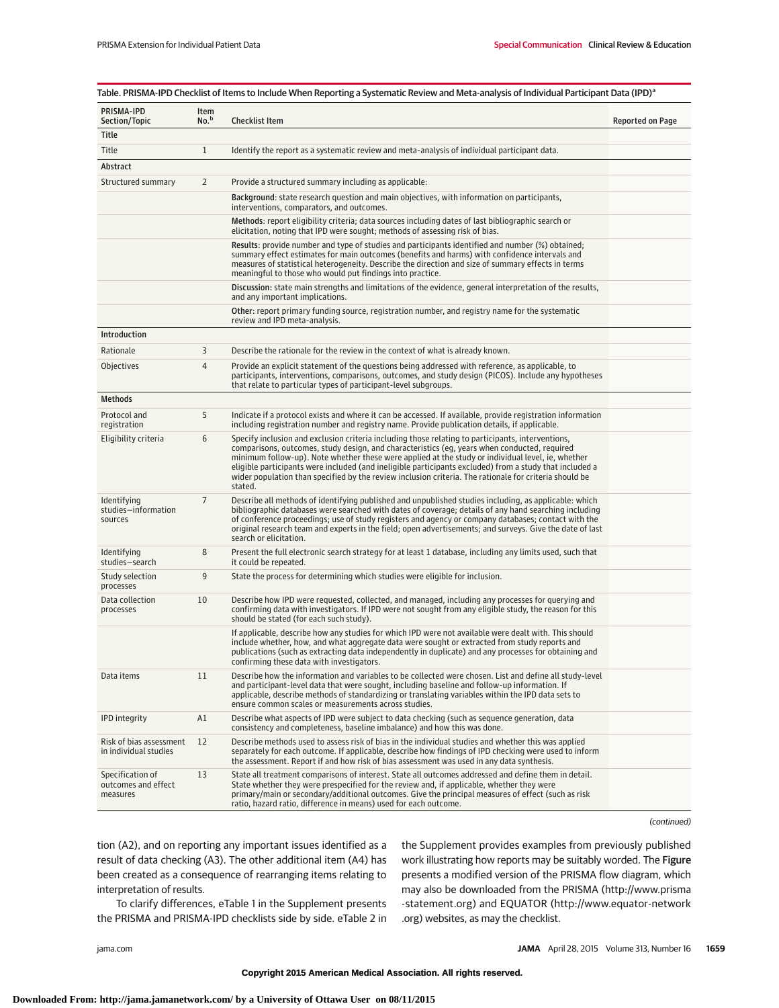| PRISMA-IPD<br>Section/Topic                         | Item<br>No. <sup>b</sup> | <b>Checklist Item</b>                                                                                                                                                                                                                                                                                                                                                                                                                                                                                                                  | <b>Reported on Page</b> |
|-----------------------------------------------------|--------------------------|----------------------------------------------------------------------------------------------------------------------------------------------------------------------------------------------------------------------------------------------------------------------------------------------------------------------------------------------------------------------------------------------------------------------------------------------------------------------------------------------------------------------------------------|-------------------------|
| <b>Title</b>                                        |                          |                                                                                                                                                                                                                                                                                                                                                                                                                                                                                                                                        |                         |
| Title                                               | $\mathbf{1}$             | Identify the report as a systematic review and meta-analysis of individual participant data.                                                                                                                                                                                                                                                                                                                                                                                                                                           |                         |
| Abstract                                            |                          |                                                                                                                                                                                                                                                                                                                                                                                                                                                                                                                                        |                         |
| Structured summary                                  | $\overline{2}$           | Provide a structured summary including as applicable:                                                                                                                                                                                                                                                                                                                                                                                                                                                                                  |                         |
|                                                     |                          | Background: state research question and main objectives, with information on participants,<br>interventions, comparators, and outcomes.                                                                                                                                                                                                                                                                                                                                                                                                |                         |
|                                                     |                          | Methods: report eligibility criteria; data sources including dates of last bibliographic search or<br>elicitation, noting that IPD were sought; methods of assessing risk of bias.                                                                                                                                                                                                                                                                                                                                                     |                         |
|                                                     |                          | Results: provide number and type of studies and participants identified and number (%) obtained;<br>summary effect estimates for main outcomes (benefits and harms) with confidence intervals and<br>measures of statistical heterogeneity. Describe the direction and size of summary effects in terms<br>meaningful to those who would put findings into practice.                                                                                                                                                                   |                         |
|                                                     |                          | Discussion: state main strengths and limitations of the evidence, general interpretation of the results,<br>and any important implications.                                                                                                                                                                                                                                                                                                                                                                                            |                         |
|                                                     |                          | Other: report primary funding source, registration number, and registry name for the systematic<br>review and IPD meta-analysis.                                                                                                                                                                                                                                                                                                                                                                                                       |                         |
| Introduction                                        |                          |                                                                                                                                                                                                                                                                                                                                                                                                                                                                                                                                        |                         |
| Rationale                                           | 3                        | Describe the rationale for the review in the context of what is already known.                                                                                                                                                                                                                                                                                                                                                                                                                                                         |                         |
| Objectives                                          | $\overline{4}$           | Provide an explicit statement of the questions being addressed with reference, as applicable, to<br>participants, interventions, comparisons, outcomes, and study design (PICOS). Include any hypotheses<br>that relate to particular types of participant-level subgroups.                                                                                                                                                                                                                                                            |                         |
| <b>Methods</b>                                      |                          |                                                                                                                                                                                                                                                                                                                                                                                                                                                                                                                                        |                         |
| Protocol and<br>registration                        | 5                        | Indicate if a protocol exists and where it can be accessed. If available, provide registration information<br>including registration number and registry name. Provide publication details, if applicable.                                                                                                                                                                                                                                                                                                                             |                         |
| Eligibility criteria                                | 6                        | Specify inclusion and exclusion criteria including those relating to participants, interventions,<br>comparisons, outcomes, study design, and characteristics (eg, years when conducted, required<br>minimum follow-up). Note whether these were applied at the study or individual level, ie, whether<br>eligible participants were included (and ineligible participants excluded) from a study that included a<br>wider population than specified by the review inclusion criteria. The rationale for criteria should be<br>stated. |                         |
| Identifying<br>studies-information<br>sources       | $\overline{7}$           | Describe all methods of identifying published and unpublished studies including, as applicable: which<br>bibliographic databases were searched with dates of coverage; details of any hand searching including<br>of conference proceedings; use of study registers and agency or company databases; contact with the<br>original research team and experts in the field; open advertisements; and surveys. Give the date of last<br>search or elicitation.                                                                            |                         |
| Identifying<br>studies-search                       | 8                        | Present the full electronic search strategy for at least 1 database, including any limits used, such that<br>it could be repeated.                                                                                                                                                                                                                                                                                                                                                                                                     |                         |
| Study selection<br>processes                        | 9                        | State the process for determining which studies were eligible for inclusion.                                                                                                                                                                                                                                                                                                                                                                                                                                                           |                         |
| Data collection<br>processes                        | 10                       | Describe how IPD were requested, collected, and managed, including any processes for querying and<br>confirming data with investigators. If IPD were not sought from any eligible study, the reason for this<br>should be stated (for each such study).                                                                                                                                                                                                                                                                                |                         |
|                                                     |                          | If applicable, describe how any studies for which IPD were not available were dealt with. This should<br>include whether, how, and what aggregate data were sought or extracted from study reports and<br>publications (such as extracting data independently in duplicate) and any processes for obtaining and<br>confirming these data with investigators.                                                                                                                                                                           |                         |
| Data items                                          | 11                       | Describe how the information and variables to be collected were chosen. List and define all study-level<br>and participant-level data that were sought, including baseline and follow-up information. If<br>applicable, describe methods of standardizing or translating variables within the IPD data sets to<br>ensure common scales or measurements across studies.                                                                                                                                                                 |                         |
| <b>IPD</b> integrity                                | A1                       | Describe what aspects of IPD were subject to data checking (such as sequence generation, data<br>consistency and completeness, baseline imbalance) and how this was done.                                                                                                                                                                                                                                                                                                                                                              |                         |
| Risk of bias assessment<br>in individual studies    | 12                       | Describe methods used to assess risk of bias in the individual studies and whether this was applied<br>separately for each outcome. If applicable, describe how findings of IPD checking were used to inform<br>the assessment. Report if and how risk of bias assessment was used in any data synthesis.                                                                                                                                                                                                                              |                         |
| Specification of<br>outcomes and effect<br>measures | 13                       | State all treatment comparisons of interest. State all outcomes addressed and define them in detail.<br>State whether they were prespecified for the review and, if applicable, whether they were<br>primary/main or secondary/additional outcomes. Give the principal measures of effect (such as risk<br>ratio, hazard ratio, difference in means) used for each outcome.                                                                                                                                                            |                         |

(continued)

tion (A2), and on reporting any important issues identified as a result of data checking (A3). The other additional item (A4) has been created as a consequence of rearranging items relating to interpretation of results.

To clarify differences, eTable 1 in the Supplement presents the PRISMA and PRISMA-IPD checklists side by side. eTable 2 in

the Supplement provides examples from previously published work illustrating how reports may be suitably worded. The Figure presents a modified version of the PRISMA flow diagram, which may also be downloaded from the PRISMA (http://www.prisma -statement.org) and EQUATOR (http://www.equator-network .org) websites, as may the checklist.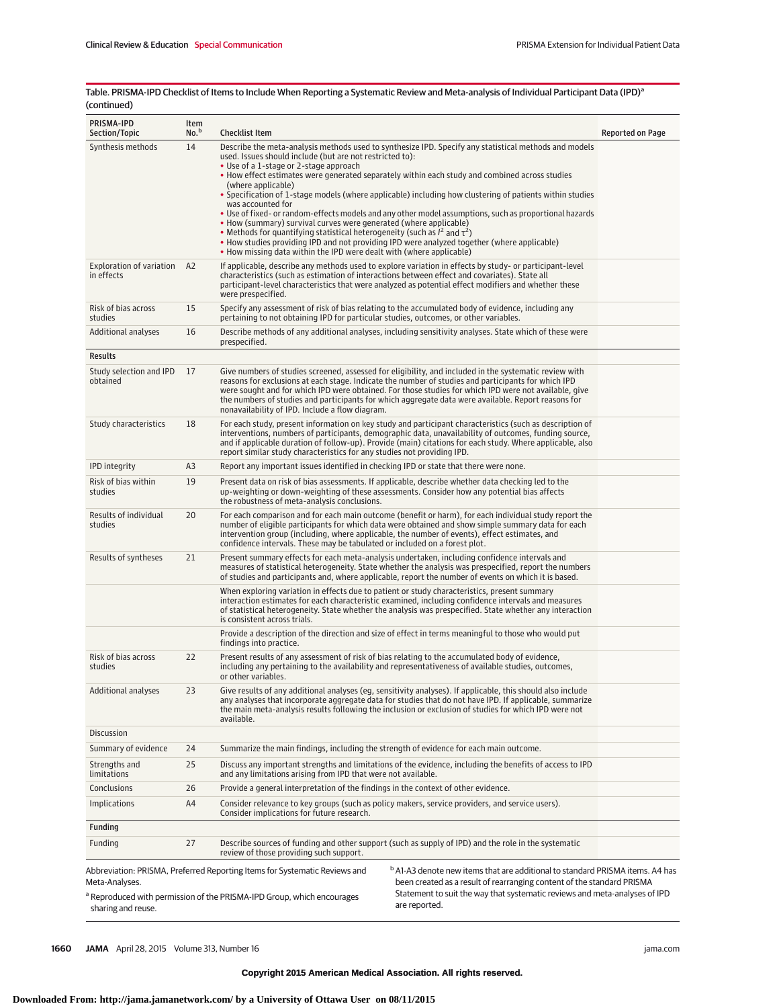| <b>PRISMA-IPD</b><br>Section/Topic     | Item<br>No. <sup>b</sup> | <b>Checklist Item</b>                                                                                                                                                                                                                                                                                                                                                                                                                                                                                                                                                                                                                                                                                                                                                                                                                                                                                           | <b>Reported on Page</b> |
|----------------------------------------|--------------------------|-----------------------------------------------------------------------------------------------------------------------------------------------------------------------------------------------------------------------------------------------------------------------------------------------------------------------------------------------------------------------------------------------------------------------------------------------------------------------------------------------------------------------------------------------------------------------------------------------------------------------------------------------------------------------------------------------------------------------------------------------------------------------------------------------------------------------------------------------------------------------------------------------------------------|-------------------------|
| Synthesis methods                      | 14                       | Describe the meta-analysis methods used to synthesize IPD. Specify any statistical methods and models<br>used. Issues should include (but are not restricted to):<br>• Use of a 1-stage or 2-stage approach<br>• How effect estimates were generated separately within each study and combined across studies<br>(where applicable)<br>. Specification of 1-stage models (where applicable) including how clustering of patients within studies<br>was accounted for<br>. Use of fixed- or random-effects models and any other model assumptions, such as proportional hazards<br>• How (summary) survival curves were generated (where applicable)<br>• Methods for quantifying statistical heterogeneity (such as $I^2$ and $\tau^2$ )<br>• How studies providing IPD and not providing IPD were analyzed together (where applicable)<br>• How missing data within the IPD were dealt with (where applicable) |                         |
| Exploration of variation<br>in effects | A2                       | If applicable, describe any methods used to explore variation in effects by study- or participant-level<br>characteristics (such as estimation of interactions between effect and covariates). State all<br>participant-level characteristics that were analyzed as potential effect modifiers and whether these<br>were prespecified.                                                                                                                                                                                                                                                                                                                                                                                                                                                                                                                                                                          |                         |
| Risk of bias across<br>studies         | 15                       | Specify any assessment of risk of bias relating to the accumulated body of evidence, including any<br>pertaining to not obtaining IPD for particular studies, outcomes, or other variables.                                                                                                                                                                                                                                                                                                                                                                                                                                                                                                                                                                                                                                                                                                                     |                         |
| Additional analyses                    | 16                       | Describe methods of any additional analyses, including sensitivity analyses. State which of these were<br>prespecified.                                                                                                                                                                                                                                                                                                                                                                                                                                                                                                                                                                                                                                                                                                                                                                                         |                         |
| <b>Results</b>                         |                          |                                                                                                                                                                                                                                                                                                                                                                                                                                                                                                                                                                                                                                                                                                                                                                                                                                                                                                                 |                         |
| Study selection and IPD<br>obtained    | 17                       | Give numbers of studies screened, assessed for eligibility, and included in the systematic review with<br>reasons for exclusions at each stage. Indicate the number of studies and participants for which IPD<br>were sought and for which IPD were obtained. For those studies for which IPD were not available, give<br>the numbers of studies and participants for which aggregate data were available. Report reasons for<br>nonavailability of IPD. Include a flow diagram.                                                                                                                                                                                                                                                                                                                                                                                                                                |                         |
| Study characteristics                  | 18                       | For each study, present information on key study and participant characteristics (such as description of<br>interventions, numbers of participants, demographic data, unavailability of outcomes, funding source,<br>and if applicable duration of follow-up). Provide (main) citations for each study. Where applicable, also<br>report similar study characteristics for any studies not providing IPD.                                                                                                                                                                                                                                                                                                                                                                                                                                                                                                       |                         |
| <b>IPD</b> integrity                   | A <sub>3</sub>           | Report any important issues identified in checking IPD or state that there were none.                                                                                                                                                                                                                                                                                                                                                                                                                                                                                                                                                                                                                                                                                                                                                                                                                           |                         |
| Risk of bias within<br>studies         | 19                       | Present data on risk of bias assessments. If applicable, describe whether data checking led to the<br>up-weighting or down-weighting of these assessments. Consider how any potential bias affects<br>the robustness of meta-analysis conclusions.                                                                                                                                                                                                                                                                                                                                                                                                                                                                                                                                                                                                                                                              |                         |
| Results of individual<br>studies       | 20                       | For each comparison and for each main outcome (benefit or harm), for each individual study report the<br>number of eligible participants for which data were obtained and show simple summary data for each<br>intervention group (including, where applicable, the number of events), effect estimates, and<br>confidence intervals. These may be tabulated or included on a forest plot.                                                                                                                                                                                                                                                                                                                                                                                                                                                                                                                      |                         |
| Results of syntheses                   | 21                       | Present summary effects for each meta-analysis undertaken, including confidence intervals and<br>measures of statistical heterogeneity. State whether the analysis was prespecified, report the numbers<br>of studies and participants and, where applicable, report the number of events on which it is based.                                                                                                                                                                                                                                                                                                                                                                                                                                                                                                                                                                                                 |                         |
|                                        |                          | When exploring variation in effects due to patient or study characteristics, present summary<br>interaction estimates for each characteristic examined, including confidence intervals and measures<br>of statistical heterogeneity. State whether the analysis was prespecified. State whether any interaction<br>is consistent across trials.                                                                                                                                                                                                                                                                                                                                                                                                                                                                                                                                                                 |                         |
|                                        |                          | Provide a description of the direction and size of effect in terms meaningful to those who would put<br>findings into practice.                                                                                                                                                                                                                                                                                                                                                                                                                                                                                                                                                                                                                                                                                                                                                                                 |                         |
| Risk of bias across<br>studies         | 22                       | Present results of any assessment of risk of bias relating to the accumulated body of evidence,<br>including any pertaining to the availability and representativeness of available studies, outcomes,<br>or other variables.                                                                                                                                                                                                                                                                                                                                                                                                                                                                                                                                                                                                                                                                                   |                         |
| Additional analyses                    | 23                       | Give results of any additional analyses (eg, sensitivity analyses). If applicable, this should also include<br>any analyses that incorporate aggregate data for studies that do not have IPD. If applicable, summarize<br>the main meta-analysis results following the inclusion or exclusion of studies for which IPD were not<br>available.                                                                                                                                                                                                                                                                                                                                                                                                                                                                                                                                                                   |                         |
| <b>Discussion</b>                      |                          |                                                                                                                                                                                                                                                                                                                                                                                                                                                                                                                                                                                                                                                                                                                                                                                                                                                                                                                 |                         |
| Summary of evidence                    | 24                       | Summarize the main findings, including the strength of evidence for each main outcome.                                                                                                                                                                                                                                                                                                                                                                                                                                                                                                                                                                                                                                                                                                                                                                                                                          |                         |
| Strengths and<br>limitations           | 25                       | Discuss any important strengths and limitations of the evidence, including the benefits of access to IPD<br>and any limitations arising from IPD that were not available.                                                                                                                                                                                                                                                                                                                                                                                                                                                                                                                                                                                                                                                                                                                                       |                         |
| Conclusions                            | 26                       | Provide a general interpretation of the findings in the context of other evidence.                                                                                                                                                                                                                                                                                                                                                                                                                                                                                                                                                                                                                                                                                                                                                                                                                              |                         |
| Implications                           | A4                       | Consider relevance to key groups (such as policy makers, service providers, and service users).<br>Consider implications for future research.                                                                                                                                                                                                                                                                                                                                                                                                                                                                                                                                                                                                                                                                                                                                                                   |                         |
| Funding                                |                          |                                                                                                                                                                                                                                                                                                                                                                                                                                                                                                                                                                                                                                                                                                                                                                                                                                                                                                                 |                         |
| Funding                                | 27                       | Describe sources of funding and other support (such as supply of IPD) and the role in the systematic<br>review of those providing such support.                                                                                                                                                                                                                                                                                                                                                                                                                                                                                                                                                                                                                                                                                                                                                                 |                         |
| Meta-Analyses.<br>sharing and reuse.   |                          | <sup>b</sup> A1-A3 denote new items that are additional to standard PRISMA items. A4 has<br>Abbreviation: PRISMA, Preferred Reporting Items for Systematic Reviews and<br>been created as a result of rearranging content of the standard PRISMA<br>Statement to suit the way that systematic reviews and meta-analyses of IPD<br>a Reproduced with permission of the PRISMA-IPD Group, which encourages<br>are reported.                                                                                                                                                                                                                                                                                                                                                                                                                                                                                       |                         |

## Table. PRISMA-IPD Checklist of Items to Include When Reporting a Systematic Review and Meta-analysis of Individual Participant Data (IPD)<sup>a</sup> (continued)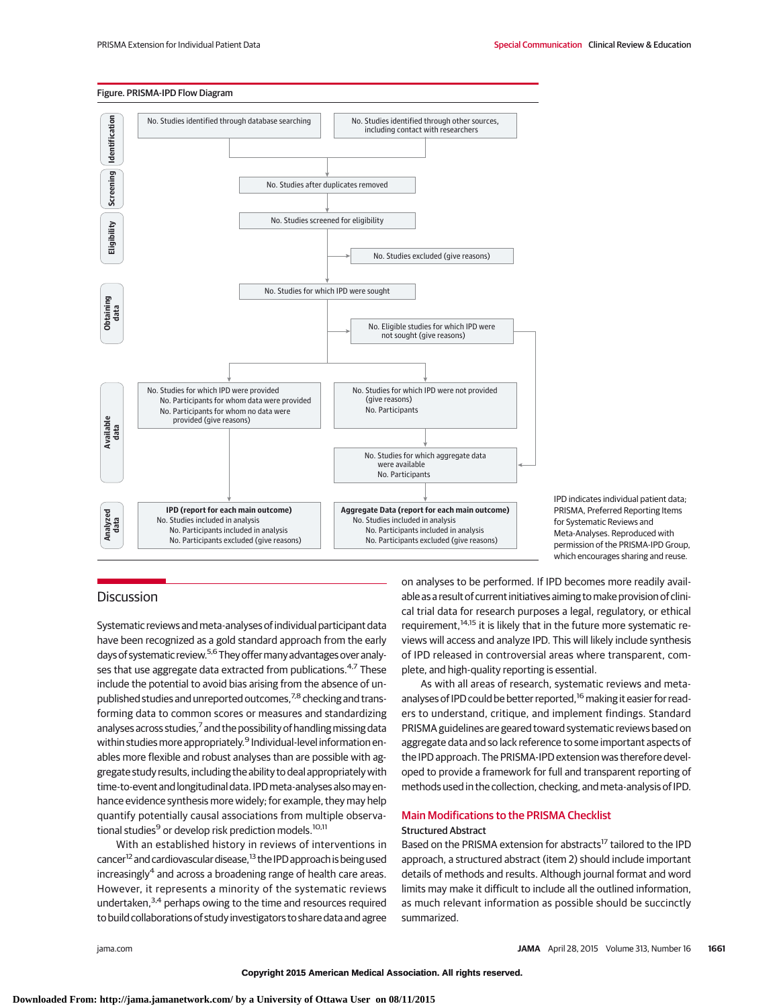

IPD indicates individual patient data; PRISMA, Preferred Reporting Items for Systematic Reviews and Meta-Analyses. Reproduced with permission of the PRISMA-IPD Group, which encourages sharing and reuse.

## **Discussion**

Systematic reviews andmeta-analyses of individual participant data have been recognized as a gold standard approach from the early days of systematic review.5,6 They offermany advantages over analyses that use aggregate data extracted from publications.<sup>4,7</sup> These include the potential to avoid bias arising from the absence of unpublished studies and unreported outcomes,<sup>7,8</sup> checking and transforming data to common scores or measures and standardizing analyses across studies,<sup>7</sup> and the possibility of handling missing data within studies more appropriately.<sup>9</sup> Individual-level information enables more flexible and robust analyses than are possible with aggregate study results, including the ability to deal appropriately with time-to-event and longitudinal data. IPD meta-analyses also may enhance evidence synthesis more widely; for example, they may help quantify potentially causal associations from multiple observational studies<sup>9</sup> or develop risk prediction models.<sup>10,11</sup>

With an established history in reviews of interventions in cancer<sup>12</sup> and cardiovascular disease, $13$  the IPD approach is being used increasingly<sup>4</sup> and across a broadening range of health care areas. However, it represents a minority of the systematic reviews undertaken,<sup>3,4</sup> perhaps owing to the time and resources required to build collaborations of study investigators to share data and agree on analyses to be performed. If IPD becomes more readily available as a result of current initiatives aiming to make provision of clinical trial data for research purposes a legal, regulatory, or ethical requirement,<sup>14,15</sup> it is likely that in the future more systematic reviews will access and analyze IPD. This will likely include synthesis of IPD released in controversial areas where transparent, complete, and high-quality reporting is essential.

As with all areas of research, systematic reviews and metaanalyses of IPD could be better reported,<sup>16</sup> making it easier for readers to understand, critique, and implement findings. Standard PRISMA guidelines are geared toward systematic reviews based on aggregate data and so lack reference to some important aspects of the IPD approach. The PRISMA-IPD extension was therefore developed to provide a framework for full and transparent reporting of methods used in the collection, checking, and meta-analysis of IPD.

## Main Modifications to the PRISMA Checklist

#### Structured Abstract

Based on the PRISMA extension for abstracts<sup>17</sup> tailored to the IPD approach, a structured abstract (item 2) should include important details of methods and results. Although journal format and word limits may make it difficult to include all the outlined information, as much relevant information as possible should be succinctly summarized.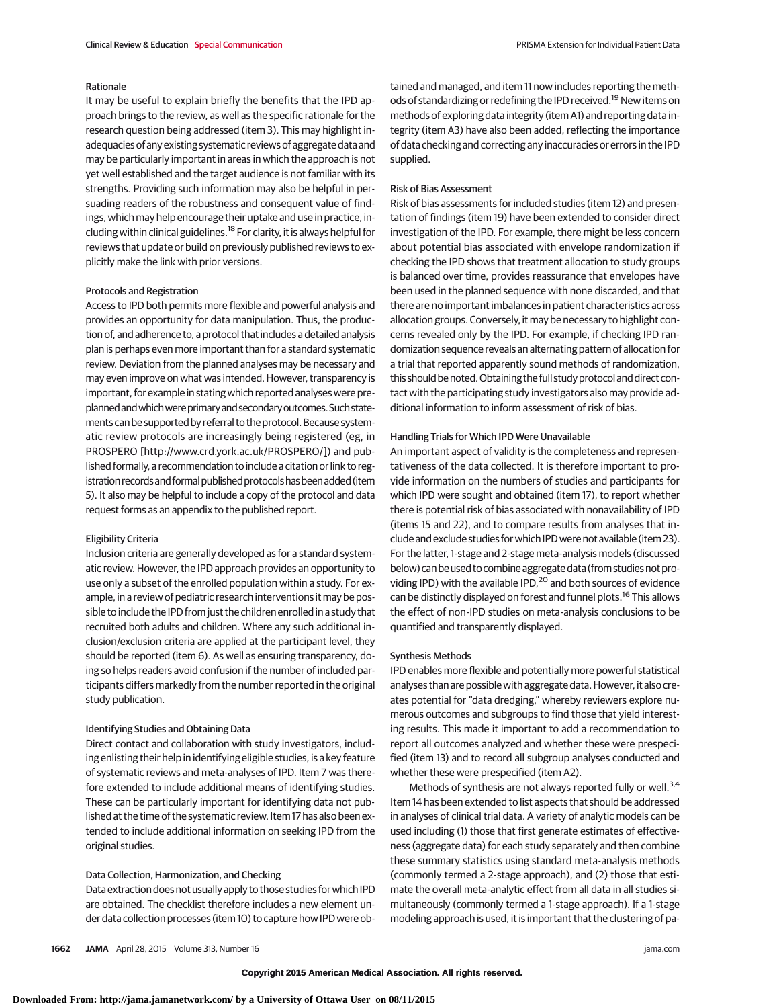#### Rationale

It may be useful to explain briefly the benefits that the IPD approach brings to the review, as well as the specific rationale for the research question being addressed (item 3). This may highlight inadequacies of any existing systematic reviews of aggregate data and may be particularly important in areas in which the approach is not yet well established and the target audience is not familiar with its strengths. Providing such information may also be helpful in persuading readers of the robustness and consequent value of findings, which may help encourage their uptake and use in practice, including within clinical guidelines.<sup>18</sup> For clarity, it is always helpful for reviews that update or build on previously published reviews to explicitly make the link with prior versions.

#### Protocols and Registration

Access to IPD both permits more flexible and powerful analysis and provides an opportunity for data manipulation. Thus, the production of, and adherence to, a protocol that includes a detailed analysis plan is perhaps even more important than for a standard systematic review. Deviation from the planned analyses may be necessary and may even improve on what was intended. However, transparency is important, for example in stating which reported analyses were preplanned and which were primary and secondary outcomes. Such statements can be supported by referral to the protocol. Because systematic review protocols are increasingly being registered (eg, in PROSPERO [http://www.crd.york.ac.uk/PROSPERO/]) and published formally, a recommendation to include a citation or link to registration records and formal published protocols has been added (item 5). It also may be helpful to include a copy of the protocol and data request forms as an appendix to the published report.

#### Eligibility Criteria

Inclusion criteria are generally developed as for a standard systematic review. However, the IPD approach provides an opportunity to use only a subset of the enrolled population within a study. For example, in a review of pediatric research interventions it may be possible to include the IPD from just the children enrolled in a study that recruited both adults and children. Where any such additional inclusion/exclusion criteria are applied at the participant level, they should be reported (item 6). As well as ensuring transparency, doing so helps readers avoid confusion if the number of included participants differs markedly from the number reported in the original study publication.

## Identifying Studies and Obtaining Data

Direct contact and collaboration with study investigators, including enlisting their help in identifying eligible studies, is a key feature of systematic reviews and meta-analyses of IPD. Item 7 was therefore extended to include additional means of identifying studies. These can be particularly important for identifying data not published at the time of the systematic review. Item 17 has also been extended to include additional information on seeking IPD from the original studies.

#### Data Collection, Harmonization, and Checking

Data extraction does not usually apply to those studies for which IPD are obtained. The checklist therefore includes a new element under data collection processes (item 10) to capture how IPD were ob-

### Risk of Bias Assessment

Risk of bias assessments for included studies (item 12) and presentation of findings (item 19) have been extended to consider direct investigation of the IPD. For example, there might be less concern about potential bias associated with envelope randomization if checking the IPD shows that treatment allocation to study groups is balanced over time, provides reassurance that envelopes have been used in the planned sequence with none discarded, and that there are no important imbalances in patient characteristics across allocation groups. Conversely, it may be necessary to highlight concerns revealed only by the IPD. For example, if checking IPD randomization sequence reveals an alternating pattern of allocation for a trial that reported apparently sound methods of randomization, this should be noted.Obtaining the full study protocoland direct contact with the participating study investigators also may provide additional information to inform assessment of risk of bias.

#### Handling Trials for Which IPD Were Unavailable

An important aspect of validity is the completeness and representativeness of the data collected. It is therefore important to provide information on the numbers of studies and participants for which IPD were sought and obtained (item 17), to report whether there is potential risk of bias associated with nonavailability of IPD (items 15 and 22), and to compare results from analyses that include and exclude studies for which IPD were not available (item 23). For the latter, 1-stage and 2-stage meta-analysis models (discussed below) can be used to combine aggregate data (from studies not providing IPD) with the available IPD,<sup>20</sup> and both sources of evidence can be distinctly displayed on forest and funnel plots.<sup>16</sup> This allows the effect of non-IPD studies on meta-analysis conclusions to be quantified and transparently displayed.

#### Synthesis Methods

IPD enables more flexible and potentially more powerful statistical analyses than are possible with aggregate data.However, it also creates potential for "data dredging," whereby reviewers explore numerous outcomes and subgroups to find those that yield interesting results. This made it important to add a recommendation to report all outcomes analyzed and whether these were prespecified (item 13) and to record all subgroup analyses conducted and whether these were prespecified (item A2).

Methods of synthesis are not always reported fully or well.<sup>3,4</sup> Item 14 has been extended to list aspects that should be addressed in analyses of clinical trial data. A variety of analytic models can be used including (1) those that first generate estimates of effectiveness (aggregate data) for each study separately and then combine these summary statistics using standard meta-analysis methods (commonly termed a 2-stage approach), and (2) those that estimate the overall meta-analytic effect from all data in all studies simultaneously (commonly termed a 1-stage approach). If a 1-stage modeling approach is used, it is important that the clustering of pa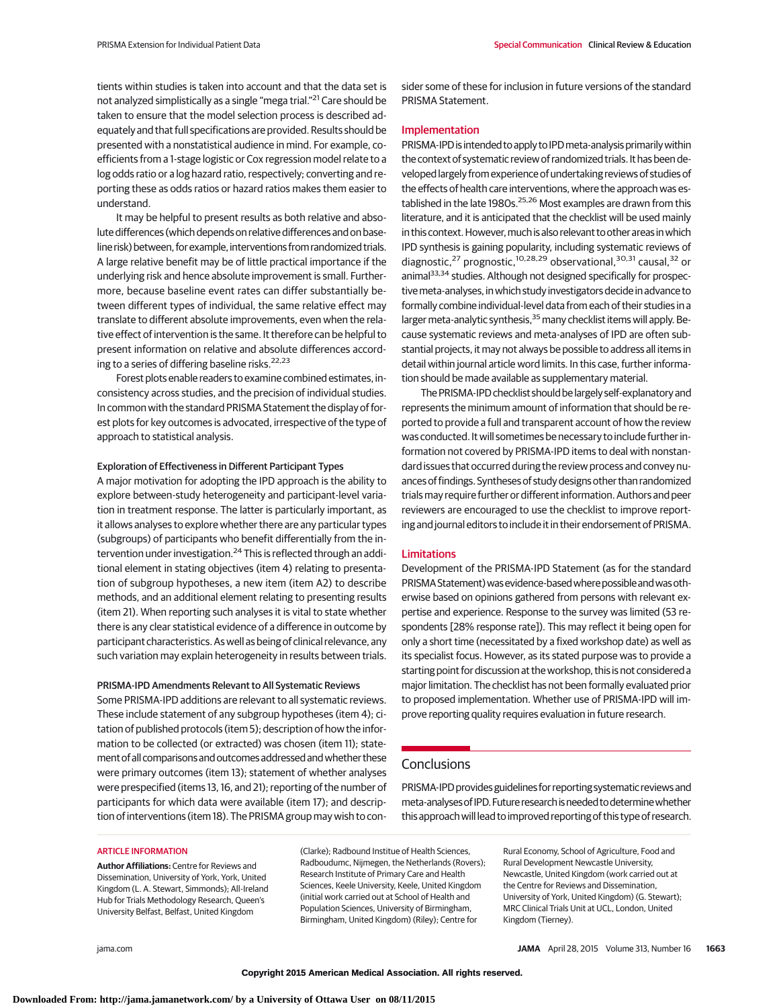tients within studies is taken into account and that the data set is not analyzed simplistically as a single "mega trial."<sup>21</sup> Care should be taken to ensure that the model selection process is described adequately and that full specifications are provided. Results should be presented with a nonstatistical audience in mind. For example, coefficients from a 1-stage logistic or Cox regression model relate to a log odds ratio or a log hazard ratio, respectively; converting and reporting these as odds ratios or hazard ratios makes them easier to understand.

It may be helpful to present results as both relative and absolute differences (which depends on relative differences and on baseline risk) between, forexample, interventions from randomized trials. A large relative benefit may be of little practical importance if the underlying risk and hence absolute improvement is small. Furthermore, because baseline event rates can differ substantially between different types of individual, the same relative effect may translate to different absolute improvements, even when the relative effect of intervention is the same. It therefore can be helpful to present information on relative and absolute differences according to a series of differing baseline risks.<sup>22,23</sup>

Forest plots enable readers to examine combined estimates, inconsistency across studies, and the precision of individual studies. In common with the standard PRISMA Statement the display of forest plots for key outcomes is advocated, irrespective of the type of approach to statistical analysis.

#### Exploration of Effectiveness in Different Participant Types

A major motivation for adopting the IPD approach is the ability to explore between-study heterogeneity and participant-level variation in treatment response. The latter is particularly important, as it allows analyses to explore whether there are any particular types (subgroups) of participants who benefit differentially from the intervention under investigation.<sup>24</sup> This is reflected through an additional element in stating objectives (item 4) relating to presentation of subgroup hypotheses, a new item (item A2) to describe methods, and an additional element relating to presenting results (item 21). When reporting such analyses it is vital to state whether there is any clear statistical evidence of a difference in outcome by participant characteristics. As well as being of clinical relevance, any such variation may explain heterogeneity in results between trials.

## PRISMA-IPD Amendments Relevant to All Systematic Reviews

Some PRISMA-IPD additions are relevant to all systematic reviews. These include statement of any subgroup hypotheses (item 4); citation of published protocols (item 5); description of how the information to be collected (or extracted) was chosen (item 11); statement of all comparisons and outcomes addressed andwhether these were primary outcomes (item 13); statement of whether analyses were prespecified (items 13, 16, and 21); reporting of the number of participants for which data were available (item 17); and description of interventions (item 18). The PRISMA group may wish to consider some of these for inclusion in future versions of the standard PRISMA Statement.

## Implementation

PRISMA-IPD is intended to apply to IPD meta-analysis primarily within the context of systematic review of randomized trials. It has been developed largely from experience of undertaking reviews of studies of the effects of health care interventions, where the approach was established in the late 1980s.<sup>25,26</sup> Most examples are drawn from this literature, and it is anticipated that the checklist will be used mainly in this context. However, much is also relevant to other areas in which IPD synthesis is gaining popularity, including systematic reviews of diagnostic,<sup>27</sup> prognostic,<sup>10,28,29</sup> observational,<sup>30,31</sup> causal,<sup>32</sup> or animal<sup>33,34</sup> studies. Although not designed specifically for prospectivemeta-analyses, in which study investigators decide in advance to formally combine individual-level data from each of their studies in a larger meta-analytic synthesis,<sup>35</sup> many checklist items will apply. Because systematic reviews and meta-analyses of IPD are often substantial projects, it may not always be possible to address all items in detail within journal article word limits. In this case, further information should be made available as supplementary material.

The PRISMA-IPD checklist should be largely self-explanatory and represents the minimum amount of information that should be reported to provide a full and transparent account of how the review was conducted. It will sometimes be necessary to include further information not covered by PRISMA-IPD items to deal with nonstandard issues that occurred during the review process and convey nuances of findings. Syntheses of study designs other than randomized trialsmay require further or different information. Authors and peer reviewers are encouraged to use the checklist to improve reporting and journal editors to include it in their endorsement of PRISMA.

#### Limitations

Development of the PRISMA-IPD Statement (as for the standard PRISMA Statement) was evidence-based where possible and was otherwise based on opinions gathered from persons with relevant expertise and experience. Response to the survey was limited (53 respondents [28% response rate]). This may reflect it being open for only a short time (necessitated by a fixed workshop date) as well as its specialist focus. However, as its stated purpose was to provide a starting point for discussion at the workshop, this is not considered a major limitation. The checklist has not been formally evaluated prior to proposed implementation. Whether use of PRISMA-IPD will improve reporting quality requires evaluation in future research.

## **Conclusions**

PRISMA-IPD provides guidelines for reporting systematic reviewsand meta-analysesofIPD.Future researchisneeded todeterminewhether this approach will lead to improved reporting of this type of research.

#### **ARTICLE INFORMATION**

**Author Affiliations:** Centre for Reviews and Dissemination, University of York, York, United Kingdom (L. A. Stewart, Simmonds); All-Ireland Hub for Trials Methodology Research, Queen's University Belfast, Belfast, United Kingdom

Research Institute of Primary Care and Health Sciences, Keele University, Keele, United Kingdom (initial work carried out at School of Health and Population Sciences, University of Birmingham, Birmingham, United Kingdom) (Riley); Centre for

(Clarke); Radbound Institue of Health Sciences, Radboudumc, Nijmegen, the Netherlands (Rovers);

Rural Economy, School of Agriculture, Food and Rural Development Newcastle University, Newcastle, United Kingdom (work carried out at the Centre for Reviews and Dissemination, University of York, United Kingdom) (G. Stewart); MRC Clinical Trials Unit at UCL, London, United Kingdom (Tierney).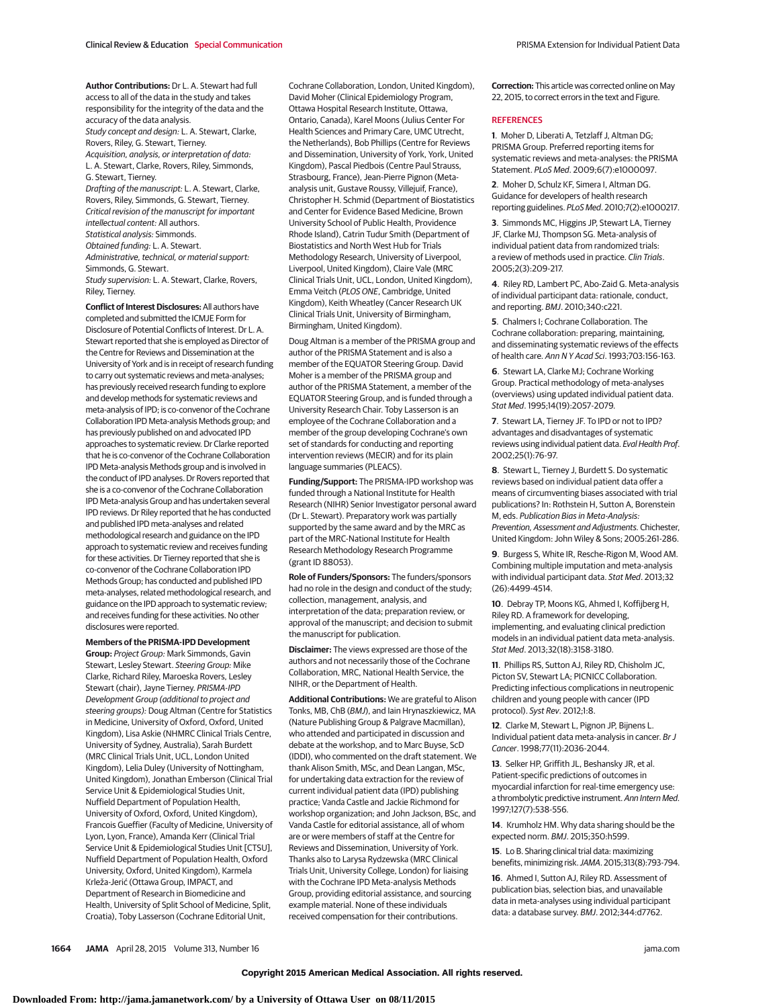**Author Contributions:** Dr L. A. Stewart had full access to all of the data in the study and takes responsibility for the integrity of the data and the accuracy of the data analysis. Study concept and design: L. A. Stewart, Clarke,

Rovers, Riley, G. Stewart, Tierney. Acquisition, analysis, or interpretation of data:

L. A. Stewart, Clarke, Rovers, Riley, Simmonds, G. Stewart, Tierney.

Drafting of the manuscript: L. A. Stewart, Clarke, Rovers, Riley, Simmonds, G. Stewart, Tierney. Critical revision of the manuscript for important intellectual content: All authors.

Statistical analysis: Simmonds.

Obtained funding: L. A. Stewart.

Administrative, technical, or material support: Simmonds, G. Stewart.

Study supervision: L. A. Stewart, Clarke, Rovers, Riley, Tierney.

**Conflict of Interest Disclosures:** All authors have completed and submitted the ICMJE Form for Disclosure of Potential Conflicts of Interest. Dr L. A. Stewart reported that she is employed as Director of the Centre for Reviews and Dissemination at the University of York and is in receipt of research funding to carry out systematic reviews and meta-analyses; has previously received research funding to explore and develop methods for systematic reviews and meta-analysis of IPD; is co-convenor of the Cochrane Collaboration IPD Meta-analysis Methods group; and has previously published on and advocated IPD approaches to systematic review. Dr Clarke reported that he is co-convenor of the Cochrane Collaboration IPD Meta-analysis Methods group and is involved in the conduct of IPD analyses. Dr Rovers reported that she is a co-convenor of the Cochrane Collaboration IPD Meta-analysis Group and has undertaken several IPD reviews. Dr Riley reported that he has conducted and published IPD meta-analyses and related methodological research and guidance on the IPD approach to systematic review and receives funding for these activities. Dr Tierney reported that she is co-convenor of the Cochrane Collaboration IPD Methods Group; has conducted and published IPD meta-analyses, related methodological research, and guidance on the IPD approach to systematic review; and receives funding for these activities. No other disclosures were reported.

**Members of the PRISMA-IPD Development Group:** Project Group: Mark Simmonds, Gavin Stewart, Lesley Stewart. Steering Group: Mike Clarke, Richard Riley, Maroeska Rovers, Lesley Stewart (chair), Jayne Tierney. PRISMA-IPD Development Group (additional to project and steering groups): Doug Altman (Centre for Statistics in Medicine, University of Oxford, Oxford, United Kingdom), Lisa Askie (NHMRC Clinical Trials Centre, University of Sydney, Australia), Sarah Burdett (MRC Clinical Trials Unit, UCL, London United Kingdom), Lelia Duley (University of Nottingham, United Kingdom), Jonathan Emberson (Clinical Trial Service Unit & Epidemiological Studies Unit, Nuffield Department of Population Health, University of Oxford, Oxford, United Kingdom), Francois Gueffier (Faculty of Medicine, University of Lyon, Lyon, France), Amanda Kerr (Clinical Trial Service Unit & Epidemiological Studies Unit [CTSU], Nuffield Department of Population Health, Oxford University, Oxford, United Kingdom), Karmela Krleža-Jerić (Ottawa Group, IMPACT, and Department of Research in Biomedicine and Health, University of Split School of Medicine, Split, Croatia), Toby Lasserson (Cochrane Editorial Unit,

Cochrane Collaboration, London, United Kingdom), David Moher (Clinical Epidemiology Program, Ottawa Hospital Research Institute, Ottawa, Ontario, Canada), Karel Moons (Julius Center For Health Sciences and Primary Care, UMC Utrecht, the Netherlands), Bob Phillips (Centre for Reviews and Dissemination, University of York, York, United Kingdom), Pascal Piedbois (Centre Paul Strauss, Strasbourg, France), Jean-Pierre Pignon (Metaanalysis unit, Gustave Roussy, Villejuif, France), Christopher H. Schmid (Department of Biostatistics and Center for Evidence Based Medicine, Brown University School of Public Health, Providence Rhode Island), Catrin Tudur Smith (Department of Biostatistics and North West Hub for Trials Methodology Research, University of Liverpool, Liverpool, United Kingdom), Claire Vale (MRC Clinical Trials Unit, UCL, London, United Kingdom), Emma Veitch (PLOS ONE, Cambridge, United Kingdom), Keith Wheatley (Cancer Research UK Clinical Trials Unit, University of Birmingham, Birmingham, United Kingdom).

Doug Altman is a member of the PRISMA group and author of the PRISMA Statement and is also a member of the EQUATOR Steering Group. David Moher is a member of the PRISMA group and author of the PRISMA Statement, a member of the EQUATOR Steering Group, and is funded through a University Research Chair. Toby Lasserson is an employee of the Cochrane Collaboration and a member of the group developing Cochrane's own set of standards for conducting and reporting intervention reviews (MECIR) and for its plain language summaries (PLEACS).

**Funding/Support:** The PRISMA-IPD workshop was funded through a National Institute for Health Research (NIHR) Senior Investigator personal award (Dr L. Stewart). Preparatory work was partially supported by the same award and by the MRC as part of the MRC-National Institute for Health Research Methodology Research Programme (grant ID 88053).

**Role of Funders/Sponsors:** The funders/sponsors had no role in the design and conduct of the study; collection, management, analysis, and interpretation of the data; preparation review, or approval of the manuscript; and decision to submit the manuscript for publication.

**Disclaimer:** The views expressed are those of the authors and not necessarily those of the Cochrane Collaboration, MRC, National Health Service, the NIHR, or the Department of Health.

**Additional Contributions:** We are grateful to Alison Tonks, MB, ChB (BMJ), and Iain Hrynaszkiewicz, MA (Nature Publishing Group & Palgrave Macmillan), who attended and participated in discussion and debate at the workshop, and to Marc Buyse, ScD (IDDI), who commented on the draft statement. We thank Alison Smith, MSc, and Dean Langan, MSc, for undertaking data extraction for the review of current individual patient data (IPD) publishing practice; Vanda Castle and Jackie Richmond for workshop organization; and John Jackson, BSc, and Vanda Castle for editorial assistance, all of whom are or were members of staff at the Centre for Reviews and Dissemination, University of York. Thanks also to Larysa Rydzewska (MRC Clinical Trials Unit, University College, London) for liaising with the Cochrane IPD Meta-analysis Methods Group, providing editorial assistance, and sourcing example material. None of these individuals received compensation for their contributions.

**Correction:** This article was corrected online on May 22, 2015, to correct errors in the text and Figure.

#### **REFERENCES**

**1**. Moher D, Liberati A, Tetzlaff J, Altman DG; PRISMA Group. Preferred reporting items for systematic reviews and meta-analyses: the PRISMA Statement. PLoS Med. 2009;6(7):e1000097.

**2**. Moher D, Schulz KF, Simera I, Altman DG. Guidance for developers of health research reporting guidelines. PLoS Med. 2010;7(2):e1000217.

**3**. Simmonds MC, Higgins JP, Stewart LA, Tierney JF, Clarke MJ, Thompson SG. Meta-analysis of individual patient data from randomized trials: a review of methods used in practice. Clin Trials. 2005;2(3):209-217.

**4**. Riley RD, Lambert PC, Abo-Zaid G. Meta-analysis of individual participant data: rationale, conduct, and reporting. BMJ. 2010;340:c221.

**5**. Chalmers I; Cochrane Collaboration. The Cochrane collaboration: preparing, maintaining, and disseminating systematic reviews of the effects of health care. Ann N Y Acad Sci. 1993;703:156-163.

**6**. Stewart LA, Clarke MJ; Cochrane Working Group. Practical methodology of meta-analyses (overviews) using updated individual patient data. Stat Med. 1995;14(19):2057-2079.

**7**. Stewart LA, Tierney JF. To IPD or not to IPD? advantages and disadvantages of systematic reviews using individual patient data. Eval Health Prof. 2002;25(1):76-97.

**8**. Stewart L, Tierney J, Burdett S. Do systematic reviews based on individual patient data offer a means of circumventing biases associated with trial publications? In: Rothstein H, Sutton A, Borenstein M, eds. Publication Bias in Meta-Analysis: Prevention, Assessment and Adjustments. Chichester, United Kingdom: John Wiley & Sons; 2005:261-286.

**9**. Burgess S, White IR, Resche-Rigon M, Wood AM. Combining multiple imputation and meta-analysis with individual participant data. Stat Med. 2013;32 (26):4499-4514.

**10**. Debray TP, Moons KG, Ahmed I, Koffijberg H, Riley RD. A framework for developing, implementing, and evaluating clinical prediction models in an individual patient data meta-analysis. Stat Med. 2013;32(18):3158-3180.

**11**. Phillips RS, Sutton AJ, Riley RD, Chisholm JC, Picton SV, Stewart LA; PICNICC Collaboration. Predicting infectious complications in neutropenic children and young people with cancer (IPD protocol). Syst Rev. 2012;1:8.

**12**. Clarke M, Stewart L, Pignon JP, Bijnens L. Individual patient data meta-analysis in cancer. Br J Cancer. 1998;77(11):2036-2044.

**13**. Selker HP, Griffith JL, Beshansky JR, et al. Patient-specific predictions of outcomes in myocardial infarction for real-time emergency use: a thrombolytic predictive instrument. Ann Intern Med. 1997;127(7):538-556.

**14**. Krumholz HM. Why data sharing should be the expected norm. BMJ. 2015;350:h599.

**15**. Lo B. Sharing clinical trial data: maximizing benefits, minimizing risk.JAMA. 2015;313(8):793-794.

**16**. Ahmed I, Sutton AJ, Riley RD. Assessment of publication bias, selection bias, and unavailable data in meta-analyses using individual participant data: a database survey. BMJ. 2012;344:d7762.